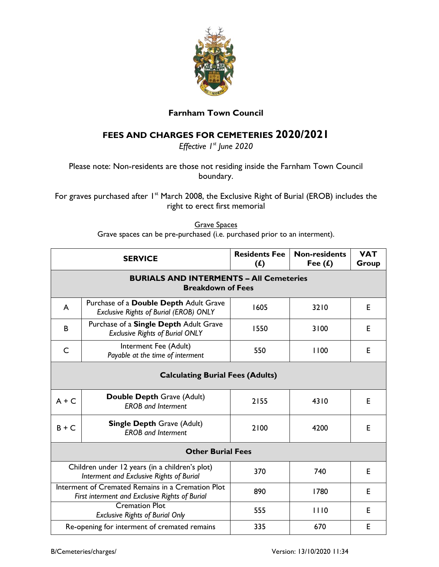

## **Farnham Town Council**

## **FEES AND CHARGES FOR CEMETERIES 2020/2021**

*Effective 1 st June 2020*

Please note: Non-residents are those not residing inside the Farnham Town Council boundary.

For graves purchased after 1<sup>st</sup> March 2008, the Exclusive Right of Burial (EROB) includes the right to erect first memorial

| <b>SERVICE</b>                                                                                      |                                                                                  | <b>Residents Fee</b><br>(f) | <b>Non-residents</b><br>Fee $(f)$ | <b>VAT</b><br>Group |  |  |
|-----------------------------------------------------------------------------------------------------|----------------------------------------------------------------------------------|-----------------------------|-----------------------------------|---------------------|--|--|
| <b>BURIALS AND INTERMENTS - All Cemeteries</b><br><b>Breakdown of Fees</b>                          |                                                                                  |                             |                                   |                     |  |  |
| A                                                                                                   | Purchase of a Double Depth Adult Grave<br>Exclusive Rights of Burial (EROB) ONLY | 1605                        | 3210                              | E                   |  |  |
| B                                                                                                   | Purchase of a Single Depth Adult Grave<br><b>Exclusive Rights of Burial ONLY</b> | 1550                        | 3100                              | E                   |  |  |
| C                                                                                                   | Interment Fee (Adult)<br>Payable at the time of interment                        | 550                         | 1100                              | E                   |  |  |
| <b>Calculating Burial Fees (Adults)</b>                                                             |                                                                                  |                             |                                   |                     |  |  |
| $A + C$                                                                                             | <b>Double Depth Grave (Adult)</b><br><b>EROB</b> and Interment                   | 2155                        | 4310                              | Е                   |  |  |
| $B + C$                                                                                             | <b>Single Depth Grave (Adult)</b><br><b>EROB</b> and Interment                   | 2100                        | 4200                              | Е                   |  |  |
| <b>Other Burial Fees</b>                                                                            |                                                                                  |                             |                                   |                     |  |  |
| Children under 12 years (in a children's plot)<br>Interment and Exclusive Rights of Burial          |                                                                                  | 370                         | 740                               | Е                   |  |  |
| Interment of Cremated Remains in a Cremation Plot<br>First interment and Exclusive Rights of Burial |                                                                                  | 890                         | 1780                              | E                   |  |  |
| <b>Cremation Plot</b><br><b>Exclusive Rights of Burial Only</b>                                     |                                                                                  | 555                         | 1110                              | E                   |  |  |
| Re-opening for interment of cremated remains                                                        |                                                                                  | 335                         | 670                               | E                   |  |  |

Grave Spaces Grave spaces can be pre-purchased (i.e. purchased prior to an interment).